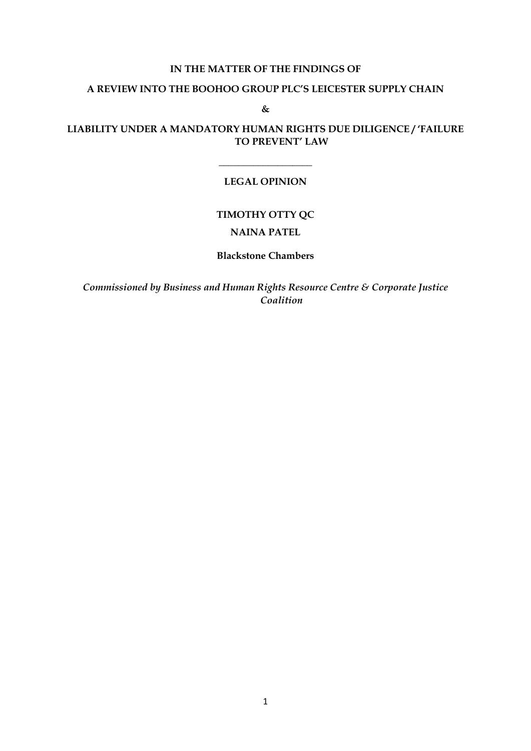## **IN THE MATTER OF THE FINDINGS OF**

### **A REVIEW INTO THE BOOHOO GROUP PLC'S LEICESTER SUPPLY CHAIN**

**&**

## **LIABILITY UNDER A MANDATORY HUMAN RIGHTS DUE DILIGENCE / 'FAILURE TO PREVENT' LAW**

## **LEGAL OPINION**

\_\_\_\_\_\_\_\_\_\_\_\_\_\_\_\_\_\_\_

## **TIMOTHY OTTY QC**

## **NAINA PATEL**

### **Blackstone Chambers**

*Commissioned by Business and Human Rights Resource Centre & Corporate Justice Coalition*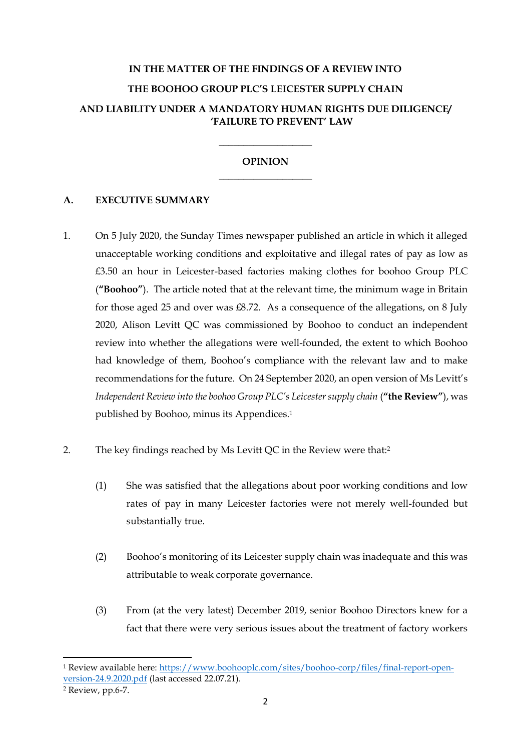# **IN THE MATTER OF THE FINDINGS OF A REVIEW INTO THE BOOHOO GROUP PLC'S LEICESTER SUPPLY CHAIN AND LIABILITY UNDER A MANDATORY HUMAN RIGHTS DUE DILIGENCE/ 'FAILURE TO PREVENT' LAW**

# **OPINION** \_\_\_\_\_\_\_\_\_\_\_\_\_\_\_\_\_\_\_

\_\_\_\_\_\_\_\_\_\_\_\_\_\_\_\_\_\_\_

# **A. EXECUTIVE SUMMARY**

- 1. On 5 July 2020, the Sunday Times newspaper published an article in which it alleged unacceptable working conditions and exploitative and illegal rates of pay as low as £3.50 an hour in Leicester-based factories making clothes for boohoo Group PLC (**"Boohoo"**). The article noted that at the relevant time, the minimum wage in Britain for those aged 25 and over was £8.72. As a consequence of the allegations, on 8 July 2020, Alison Levitt QC was commissioned by Boohoo to conduct an independent review into whether the allegations were well-founded, the extent to which Boohoo had knowledge of them, Boohoo's compliance with the relevant law and to make recommendations for the future. On 24 September 2020, an open version of Ms Levitt's *Independent Review into the boohoo Group PLC's Leicester supply chain* (**"the Review"**), was published by Boohoo, minus its Appendices. 1
- 2. The key findings reached by Ms Levitt QC in the Review were that:<sup>2</sup>
	- (1) She was satisfied that the allegations about poor working conditions and low rates of pay in many Leicester factories were not merely well-founded but substantially true.
	- (2) Boohoo's monitoring of its Leicester supply chain was inadequate and this was attributable to weak corporate governance.
	- (3) From (at the very latest) December 2019, senior Boohoo Directors knew for a fact that there were very serious issues about the treatment of factory workers

<sup>1</sup> Review available here: https://www.boohooplc.com/sites/boohoo-corp/files/final-report-openversion-24.9.2020.pdf (last accessed 22.07.21).

<sup>2</sup> Review, pp.6-7.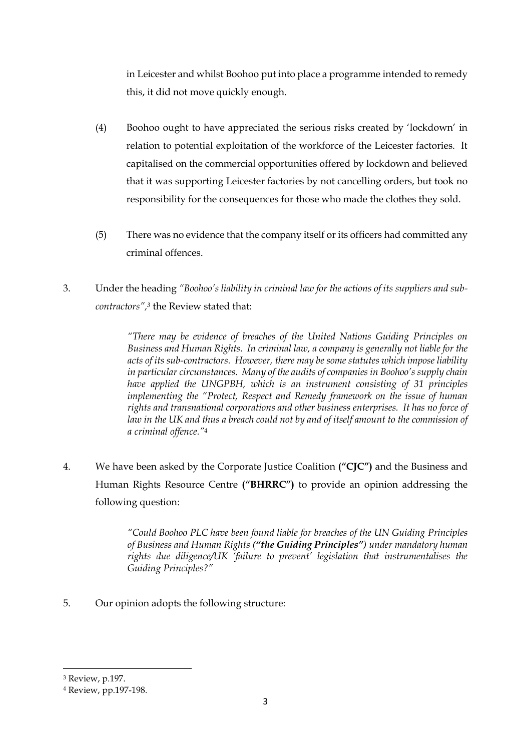in Leicester and whilst Boohoo put into place a programme intended to remedy this, it did not move quickly enough.

- (4) Boohoo ought to have appreciated the serious risks created by 'lockdown' in relation to potential exploitation of the workforce of the Leicester factories. It capitalised on the commercial opportunities offered by lockdown and believed that it was supporting Leicester factories by not cancelling orders, but took no responsibility for the consequences for those who made the clothes they sold.
- (5) There was no evidence that the company itself or its officers had committed any criminal offences.
- 3. Under the heading *"Boohoo's liability in criminal law for the actions of its suppliers and subcontractors", <sup>3</sup>* the Review stated that:

*"There may be evidence of breaches of the United Nations Guiding Principles on Business and Human Rights. In criminal law, a company is generally not liable for the acts of its sub-contractors. However, there may be some statutes which impose liability in particular circumstances. Many of the audits of companies in Boohoo's supply chain have applied the UNGPBH, which is an instrument consisting of 31 principles implementing the "Protect, Respect and Remedy framework on the issue of human rights and transnational corporations and other business enterprises. It has no force of*  law in the UK and thus a breach could not by and of itself amount to the commission of *a criminal offence."*<sup>4</sup>

4. We have been asked by the Corporate Justice Coalition **("CJC")** and the Business and Human Rights Resource Centre **("BHRRC")** to provide an opinion addressing the following question:

> *"Could Boohoo PLC have been found liable for breaches of the UN Guiding Principles of Business and Human Rights ("the Guiding Principles") under mandatory human rights due diligence/UK 'failure to prevent' legislation that instrumentalises the Guiding Principles?"*

5. Our opinion adopts the following structure:

<sup>3</sup> Review, p.197.

<sup>4</sup> Review, pp.197-198.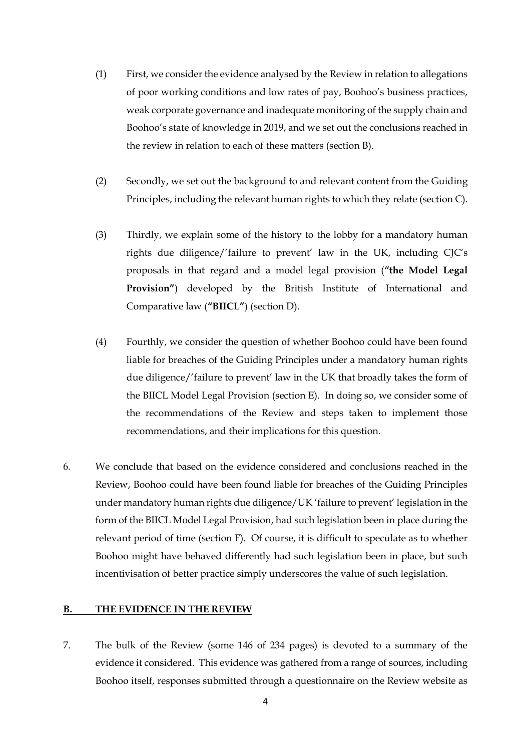- (1) First, we consider the evidence analysed by the Review in relation to allegations of poor working conditions and low rates of pay, Boohoo's business practices, weak corporate governance and inadequate monitoring of the supply chain and Boohoo's state of knowledge in 2019, and we set out the conclusions reached in the review in relation to each of these matters (section B).
- (2) Secondly, we set out the background to and relevant content from the Guiding Principles, including the relevant human rights to which they relate (section C).
- (3) Thirdly, we explain some of the history to the lobby for a mandatory human rights due diligence/'failure to prevent' law in the UK, including CJC's proposals in that regard and a model legal provision (**"the Model Legal Provision"**) developed by the British Institute of International and Comparative law (**"BIICL"**) (section D).
- (4) Fourthly, we consider the question of whether Boohoo could have been found liable for breaches of the Guiding Principles under a mandatory human rights due diligence/'failure to prevent' law in the UK that broadly takes the form of the BIICL Model Legal Provision (section E). In doing so, we consider some of the recommendations of the Review and steps taken to implement those recommendations, and their implications for this question.
- 6. We conclude that based on the evidence considered and conclusions reached in the Review, Boohoo could have been found liable for breaches of the Guiding Principles under mandatory human rights due diligence/UK 'failure to prevent' legislation in the form of the BIICL Model Legal Provision, had such legislation been in place during the relevant period of time (section F). Of course, it is difficult to speculate as to whether Boohoo might have behaved differently had such legislation been in place, but such incentivisation of better practice simply underscores the value of such legislation.

#### **B. THE EVIDENCE IN THE REVIEW**

7. The bulk of the Review (some 146 of 234 pages) is devoted to a summary of the evidence it considered. This evidence was gathered from a range of sources, including Boohoo itself, responses submitted through a questionnaire on the Review website as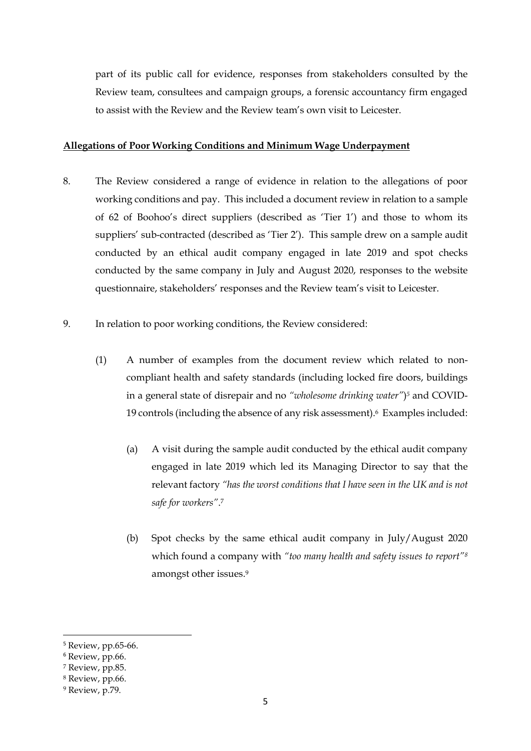part of its public call for evidence, responses from stakeholders consulted by the Review team, consultees and campaign groups, a forensic accountancy firm engaged to assist with the Review and the Review team's own visit to Leicester.

#### **Allegations of Poor Working Conditions and Minimum Wage Underpayment**

- 8. The Review considered a range of evidence in relation to the allegations of poor working conditions and pay. This included a document review in relation to a sample of 62 of Boohoo's direct suppliers (described as 'Tier 1') and those to whom its suppliers' sub-contracted (described as 'Tier 2'). This sample drew on a sample audit conducted by an ethical audit company engaged in late 2019 and spot checks conducted by the same company in July and August 2020, responses to the website questionnaire, stakeholders' responses and the Review team's visit to Leicester.
- 9. In relation to poor working conditions, the Review considered:
	- (1) A number of examples from the document review which related to noncompliant health and safety standards (including locked fire doors, buildings in a general state of disrepair and no *"wholesome drinking water"*) *<sup>5</sup>* and COVID-19 controls (including the absence of any risk assessment). <sup>6</sup> Examples included:
		- (a) A visit during the sample audit conducted by the ethical audit company engaged in late 2019 which led its Managing Director to say that the relevant factory *"has the worst conditions that I have seen in the UK and is not safe for workers"*. 7
		- (b) Spot checks by the same ethical audit company in July/August 2020 which found a company with *"too many health and safety issues to report"<sup>8</sup>* amongst other issues.<sup>9</sup>

<sup>5</sup> Review, pp.65-66.

<sup>6</sup> Review, pp.66.

<sup>7</sup> Review, pp.85.

<sup>8</sup> Review, pp.66.

<sup>9</sup> Review, p.79.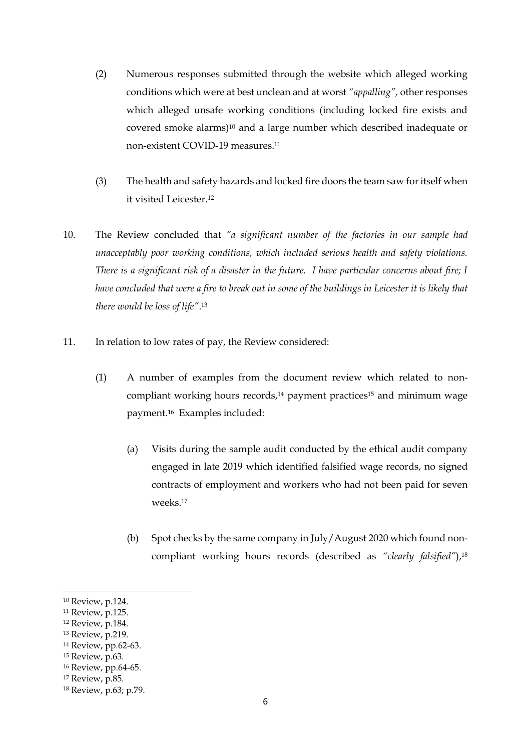- (2) Numerous responses submitted through the website which alleged working conditions which were at best unclean and at worst *"appalling",* other responses which alleged unsafe working conditions (including locked fire exists and covered smoke alarms)<sup>10</sup> and a large number which described inadequate or non-existent COVID-19 measures. 11
- (3) The health and safety hazards and locked fire doors the team saw for itself when it visited Leicester. 12
- 10. The Review concluded that *"a significant number of the factories in our sample had unacceptably poor working conditions, which included serious health and safety violations. There is a significant risk of a disaster in the future. I have particular concerns about fire; I have concluded that were a fire to break out in some of the buildings in Leicester it is likely that there would be loss of life"*. 13
- 11. In relation to low rates of pay, the Review considered:
	- (1) A number of examples from the document review which related to noncompliant working hours records, <sup>14</sup> payment practices<sup>15</sup> and minimum wage payment.16 Examples included:
		- (a) Visits during the sample audit conducted by the ethical audit company engaged in late 2019 which identified falsified wage records, no signed contracts of employment and workers who had not been paid for seven weeks.<sup>17</sup>
		- (b) Spot checks by the same company in July/August 2020 which found noncompliant working hours records (described as *"clearly falsified"*), 18

<sup>10</sup> Review, p.124.

<sup>11</sup> Review, p.125.

<sup>12</sup> Review, p.184.

<sup>13</sup> Review, p.219.

<sup>14</sup> Review, pp.62-63.

<sup>15</sup> Review, p.63.

<sup>16</sup> Review, pp.64-65.

<sup>17</sup> Review, p.85.

<sup>18</sup> Review, p.63; p.79.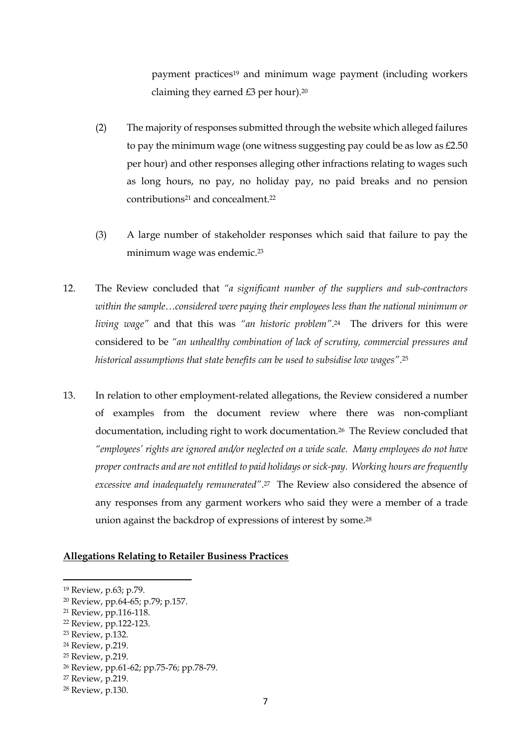payment practices<sup>19</sup> and minimum wage payment (including workers claiming they earned £3 per hour). 20

- (2) The majority of responses submitted through the website which alleged failures to pay the minimum wage (one witness suggesting pay could be as low as  $£2.50$ ) per hour) and other responses alleging other infractions relating to wages such as long hours, no pay, no holiday pay, no paid breaks and no pension contributions<sup>21</sup> and concealment.<sup>22</sup>
- (3) A large number of stakeholder responses which said that failure to pay the minimum wage was endemic.<sup>23</sup>
- 12. The Review concluded that *"a significant number of the suppliers and sub-contractors within the sample…considered were paying their employees less than the national minimum or living wage"* and that this was *"an historic problem"*. <sup>24</sup> The drivers for this were considered to be *"an unhealthy combination of lack of scrutiny, commercial pressures and historical assumptions that state benefits can be used to subsidise low wages"*. 25
- 13. In relation to other employment-related allegations, the Review considered a number of examples from the document review where there was non-compliant documentation, including right to work documentation.26 The Review concluded that *"employees' rights are ignored and/or neglected on a wide scale. Many employees do not have proper contracts and are not entitled to paid holidays or sick-pay. Working hours are frequently excessive and inadequately remunerated"*. <sup>27</sup> The Review also considered the absence of any responses from any garment workers who said they were a member of a trade union against the backdrop of expressions of interest by some.<sup>28</sup>

#### **Allegations Relating to Retailer Business Practices**

- <sup>22</sup> Review, pp.122-123.
- <sup>23</sup> Review, p.132.

<sup>19</sup> Review, p.63; p.79.

<sup>20</sup> Review, pp.64-65; p.79; p.157.

<sup>21</sup> Review, pp.116-118.

<sup>24</sup> Review, p.219.

<sup>25</sup> Review, p.219.

<sup>26</sup> Review, pp.61-62; pp.75-76; pp.78-79.

<sup>27</sup> Review, p.219.

<sup>28</sup> Review, p.130.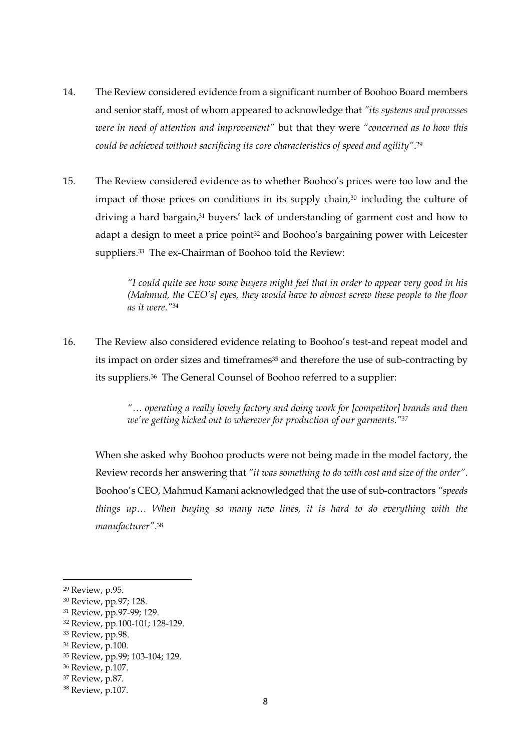- 14. The Review considered evidence from a significant number of Boohoo Board members and senior staff, most of whom appeared to acknowledge that *"its systems and processes were in need of attention and improvement"* but that they were *"concerned as to how this could be achieved without sacrificing its core characteristics of speed and agility"*. 29
- 15. The Review considered evidence as to whether Boohoo's prices were too low and the impact of those prices on conditions in its supply chain,<sup>30</sup> including the culture of driving a hard bargain, <sup>31</sup> buyers' lack of understanding of garment cost and how to adapt a design to meet a price point<sup>32</sup> and Boohoo's bargaining power with Leicester suppliers.<sup>33</sup> The ex-Chairman of Boohoo told the Review:

*"I could quite see how some buyers might feel that in order to appear very good in his (Mahmud, the CEO's] eyes, they would have to almost screw these people to the floor as it were."*<sup>34</sup>

16. The Review also considered evidence relating to Boohoo's test-and repeat model and its impact on order sizes and timeframes<sup>35</sup> and therefore the use of sub-contracting by its suppliers. <sup>36</sup> The General Counsel of Boohoo referred to a supplier:

> *"… operating a really lovely factory and doing work for [competitor] brands and then we're getting kicked out to wherever for production of our garments."<sup>37</sup>*

When she asked why Boohoo products were not being made in the model factory, the Review records her answering that *"it was something to do with cost and size of the order"*. Boohoo's CEO, Mahmud Kamani acknowledged that the use of sub-contractors *"speeds things up… When buying so many new lines, it is hard to do everything with the manufacturer"*. 38

<sup>32</sup> Review, pp.100-101; 128-129.

<sup>29</sup> Review, p.95.

<sup>30</sup> Review, pp.97; 128.

<sup>31</sup> Review, pp.97-99; 129.

<sup>&</sup>lt;sup>33</sup> Review, pp.98.

<sup>34</sup> Review, p.100.

<sup>35</sup> Review, pp.99; 103-104; 129.

<sup>36</sup> Review, p.107.

<sup>37</sup> Review, p.87.

<sup>38</sup> Review, p.107.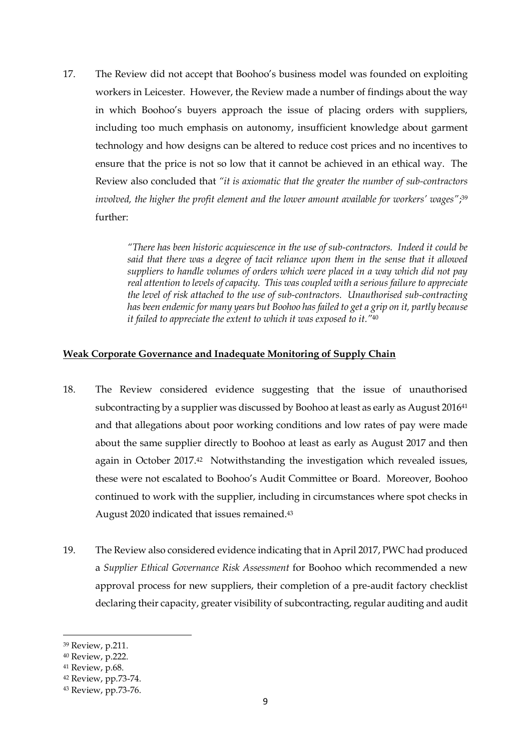17. The Review did not accept that Boohoo's business model was founded on exploiting workers in Leicester. However, the Review made a number of findings about the way in which Boohoo's buyers approach the issue of placing orders with suppliers, including too much emphasis on autonomy, insufficient knowledge about garment technology and how designs can be altered to reduce cost prices and no incentives to ensure that the price is not so low that it cannot be achieved in an ethical way. The Review also concluded that *"it is axiomatic that the greater the number of sub-contractors involved, the higher the profit element and the lower amount available for workers' wages"*; 39 further:

> *"There has been historic acquiescence in the use of sub-contractors. Indeed it could be said that there was a degree of tacit reliance upon them in the sense that it allowed suppliers to handle volumes of orders which were placed in a way which did not pay real attention to levels of capacity. This was coupled with a serious failure to appreciate the level of risk attached to the use of sub-contractors. Unauthorised sub-contracting has been endemic for many years but Boohoo has failed to get a grip on it, partly because it failed to appreciate the extent to which it was exposed to it."*<sup>40</sup>

## **Weak Corporate Governance and Inadequate Monitoring of Supply Chain**

- 18. The Review considered evidence suggesting that the issue of unauthorised subcontracting by a supplier was discussed by Boohoo at least as early as August 2016<sup>41</sup> and that allegations about poor working conditions and low rates of pay were made about the same supplier directly to Boohoo at least as early as August 2017 and then again in October 2017.<sup>42</sup> Notwithstanding the investigation which revealed issues, these were not escalated to Boohoo's Audit Committee or Board. Moreover, Boohoo continued to work with the supplier, including in circumstances where spot checks in August 2020 indicated that issues remained. 43
- 19. The Review also considered evidence indicating that in April 2017, PWC had produced a *Supplier Ethical Governance Risk Assessment* for Boohoo which recommended a new approval process for new suppliers, their completion of a pre-audit factory checklist declaring their capacity, greater visibility of subcontracting, regular auditing and audit

<sup>39</sup> Review, p.211.

<sup>40</sup> Review, p.222.

<sup>41</sup> Review, p.68.

<sup>42</sup> Review, pp.73-74.

<sup>43</sup> Review, pp.73-76.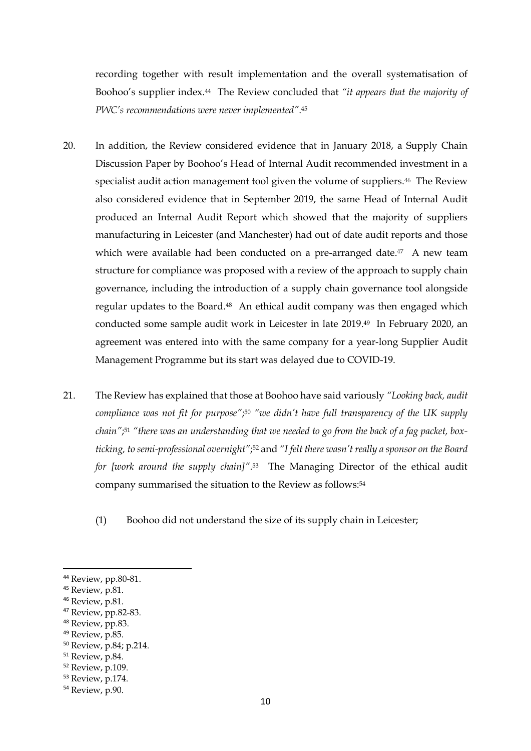recording together with result implementation and the overall systematisation of Boohoo's supplier index.44 The Review concluded that *"it appears that the majority of PWC's recommendations were never implemented"*. 45

- 20. In addition, the Review considered evidence that in January 2018, a Supply Chain Discussion Paper by Boohoo's Head of Internal Audit recommended investment in a specialist audit action management tool given the volume of suppliers.<sup>46</sup> The Review also considered evidence that in September 2019, the same Head of Internal Audit produced an Internal Audit Report which showed that the majority of suppliers manufacturing in Leicester (and Manchester) had out of date audit reports and those which were available had been conducted on a pre-arranged date.<sup>47</sup> A new team structure for compliance was proposed with a review of the approach to supply chain governance, including the introduction of a supply chain governance tool alongside regular updates to the Board.48 An ethical audit company was then engaged which conducted some sample audit work in Leicester in late 2019. <sup>49</sup> In February 2020, an agreement was entered into with the same company for a year-long Supplier Audit Management Programme but its start was delayed due to COVID-19.
- 21. The Review has explained that those at Boohoo have said variously *"Looking back, audit*  compliance was not fit for purpose";<sup>50</sup> "we didn't have full transparency of the UK supply *chain"*; <sup>51</sup> *"there was an understanding that we needed to go from the back of a fag packet, boxticking, to semi-professional overnight"*; <sup>52</sup> and *"I felt there wasn't really a sponsor on the Board for [work around the supply chain]"*. <sup>53</sup> The Managing Director of the ethical audit company summarised the situation to the Review as follows:<sup>54</sup>
	- (1) Boohoo did not understand the size of its supply chain in Leicester;

<sup>49</sup> Review, p.85.

<sup>44</sup> Review, pp.80-81.

<sup>45</sup> Review, p.81.

<sup>46</sup> Review, p.81.

<sup>47</sup> Review, pp.82-83.

<sup>48</sup> Review, pp.83.

<sup>50</sup> Review, p.84; p.214.

<sup>51</sup> Review, p.84.

<sup>52</sup> Review, p.109.

<sup>53</sup> Review, p.174.

<sup>54</sup> Review, p.90.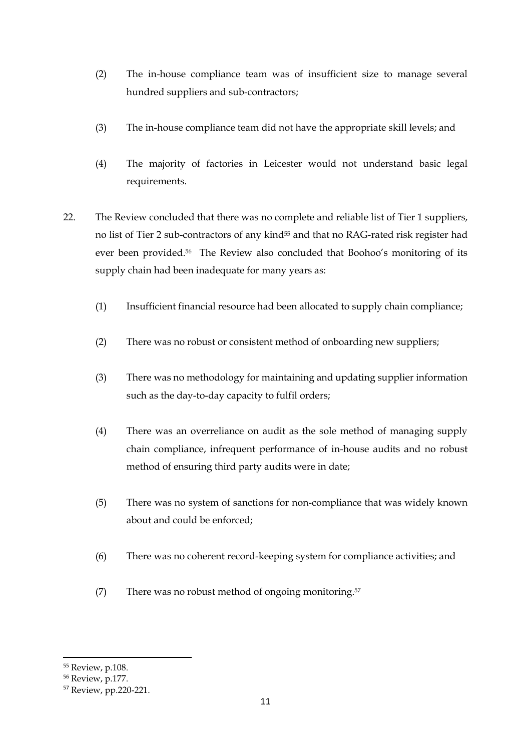- (2) The in-house compliance team was of insufficient size to manage several hundred suppliers and sub-contractors;
- (3) The in-house compliance team did not have the appropriate skill levels; and
- (4) The majority of factories in Leicester would not understand basic legal requirements.
- 22. The Review concluded that there was no complete and reliable list of Tier 1 suppliers, no list of Tier 2 sub-contractors of any kind<sup>55</sup> and that no RAG-rated risk register had ever been provided.<sup>56</sup> The Review also concluded that Boohoo's monitoring of its supply chain had been inadequate for many years as:
	- (1) Insufficient financial resource had been allocated to supply chain compliance;
	- (2) There was no robust or consistent method of onboarding new suppliers;
	- (3) There was no methodology for maintaining and updating supplier information such as the day-to-day capacity to fulfil orders;
	- (4) There was an overreliance on audit as the sole method of managing supply chain compliance, infrequent performance of in-house audits and no robust method of ensuring third party audits were in date;
	- (5) There was no system of sanctions for non-compliance that was widely known about and could be enforced;
	- (6) There was no coherent record-keeping system for compliance activities; and
	- (7) There was no robust method of ongoing monitoring.<sup>57</sup>

<sup>55</sup> Review, p.108.

<sup>56</sup> Review, p.177.

<sup>57</sup> Review, pp.220-221.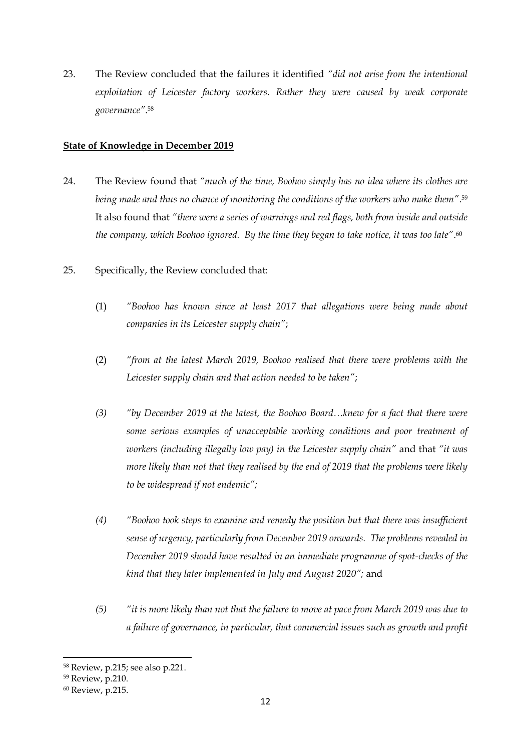23. The Review concluded that the failures it identified *"did not arise from the intentional exploitation of Leicester factory workers. Rather they were caused by weak corporate governance"*. 58

## **State of Knowledge in December 2019**

- 24. The Review found that *"much of the time, Boohoo simply has no idea where its clothes are being made and thus no chance of monitoring the conditions of the workers who make them"*. 59 It also found that *"there were a series of warnings and red flags, both from inside and outside the company, which Boohoo ignored. By the time they began to take notice, it was too late"*. 60
- 25. Specifically, the Review concluded that:
	- (1) *"Boohoo has known since at least 2017 that allegations were being made about companies in its Leicester supply chain"*;
	- (2) *"from at the latest March 2019, Boohoo realised that there were problems with the Leicester supply chain and that action needed to be taken"*;
	- *(3) "by December 2019 at the latest, the Boohoo Board…knew for a fact that there were some serious examples of unacceptable working conditions and poor treatment of workers (including illegally low pay) in the Leicester supply chain"* and that *"it was more likely than not that they realised by the end of 2019 that the problems were likely to be widespread if not endemic";*
	- *(4) "Boohoo took steps to examine and remedy the position but that there was insufficient sense of urgency, particularly from December 2019 onwards. The problems revealed in December 2019 should have resulted in an immediate programme of spot-checks of the kind that they later implemented in July and August 2020";* and
	- *(5) "it is more likely than not that the failure to move at pace from March 2019 was due to a failure of governance, in particular, that commercial issues such as growth and profit*

<sup>58</sup> Review, p.215; see also p.221.

<sup>59</sup> Review, p.210.

<sup>60</sup> Review, p.215.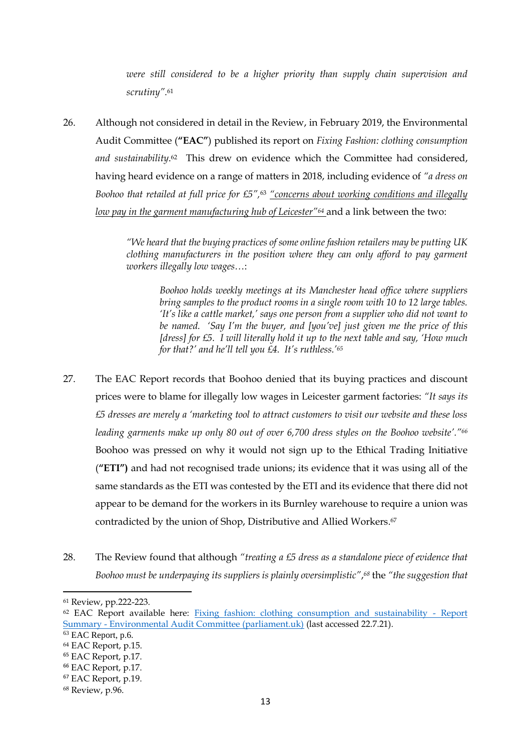*were still considered to be a higher priority than supply chain supervision and scrutiny".*<sup>61</sup>

26. Although not considered in detail in the Review, in February 2019, the Environmental Audit Committee (**"EAC"**) published its report on *Fixing Fashion: clothing consumption and sustainability*. <sup>62</sup> This drew on evidence which the Committee had considered, having heard evidence on a range of matters in 2018, including evidence of *"a dress on Boohoo that retailed at full price for £5",*<sup>63</sup> *"concerns about working conditions and illegally low pay in the garment manufacturing hub of Leicester"<sup>64</sup>* and a link between the two:

> *"We heard that the buying practices of some online fashion retailers may be putting UK clothing manufacturers in the position where they can only afford to pay garment workers illegally low wages…*:

*Boohoo holds weekly meetings at its Manchester head office where suppliers bring samples to the product rooms in a single room with 10 to 12 large tables. 'It's like a cattle market,' says one person from a supplier who did not want to be named. 'Say I'm the buyer, and [you've] just given me the price of this [dress] for £5. I will literally hold it up to the next table and say, 'How much for that?' and he'll tell you £4. It's ruthless.'<sup>65</sup>*

- 27. The EAC Report records that Boohoo denied that its buying practices and discount prices were to blame for illegally low wages in Leicester garment factories: *"It says its £5 dresses are merely a 'marketing tool to attract customers to visit our website and these loss leading garments make up only 80 out of over 6,700 dress styles on the Boohoo website'."<sup>66</sup>*  Boohoo was pressed on why it would not sign up to the Ethical Trading Initiative (**"ETI")** and had not recognised trade unions; its evidence that it was using all of the same standards as the ETI was contested by the ETI and its evidence that there did not appear to be demand for the workers in its Burnley warehouse to require a union was contradicted by the union of Shop, Distributive and Allied Workers. 67
- 28. The Review found that although *"treating a £5 dress as a standalone piece of evidence that Boohoo must be underpaying its suppliers is plainly oversimplistic"*, *<sup>68</sup>* the *"the suggestion that*

<sup>61</sup> Review, pp.222-223.

<sup>62</sup> EAC Report available here: [Fixing fashion: clothing consumption and sustainability -](https://publications.parliament.uk/pa/cm201719/cmselect/cmenvaud/1952/report-summary.html) Report Summary - [Environmental Audit Committee \(parliament.uk\)](https://publications.parliament.uk/pa/cm201719/cmselect/cmenvaud/1952/report-summary.html) (last accessed 22.7.21).

<sup>&</sup>lt;sup>63</sup> EAC Report, p.6.

<sup>64</sup> EAC Report, p.15.

<sup>65</sup> EAC Report, p.17.

<sup>66</sup> EAC Report, p.17.

<sup>67</sup> EAC Report, p.19.

<sup>68</sup> Review, p.96.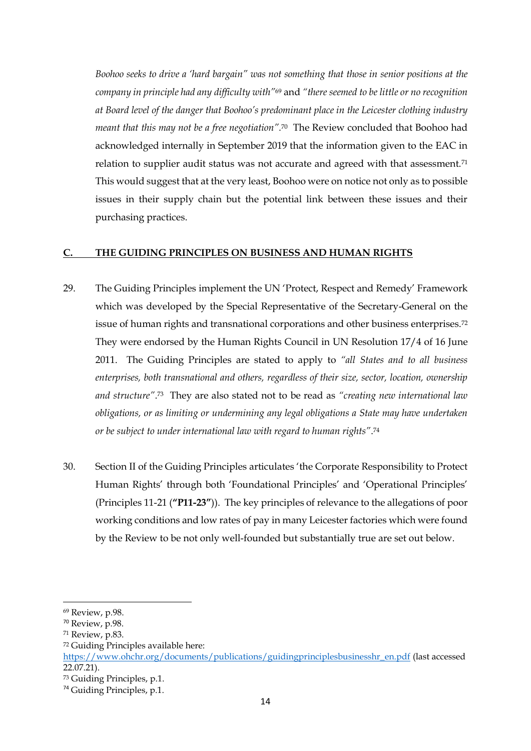*Boohoo seeks to drive a 'hard bargain" was not something that those in senior positions at the company in principle had any difficulty with"*<sup>69</sup> and *"there seemed to be little or no recognition at Board level of the danger that Boohoo's predominant place in the Leicester clothing industry meant that this may not be a free negotiation".*<sup>70</sup>The Review concluded that Boohoo had acknowledged internally in September 2019 that the information given to the EAC in relation to supplier audit status was not accurate and agreed with that assessment.<sup>71</sup> This would suggest that at the very least, Boohoo were on notice not only as to possible issues in their supply chain but the potential link between these issues and their purchasing practices.

#### **C. THE GUIDING PRINCIPLES ON BUSINESS AND HUMAN RIGHTS**

- 29. The Guiding Principles implement the UN 'Protect, Respect and Remedy' Framework which was developed by the Special Representative of the Secretary-General on the issue of human rights and transnational corporations and other business enterprises.<sup>72</sup> They were endorsed by the Human Rights Council in UN Resolution 17/4 of 16 June 2011. The Guiding Principles are stated to apply to *"all States and to all business enterprises, both transnational and others, regardless of their size, sector, location, ownership and structure"*. <sup>73</sup> They are also stated not to be read as *"creating new international law obligations, or as limiting or undermining any legal obligations a State may have undertaken or be subject to under international law with regard to human rights"*. 74
- 30. Section II of the Guiding Principles articulates 'the Corporate Responsibility to Protect Human Rights' through both 'Foundational Principles' and 'Operational Principles' (Principles 11-21 (**"P11-23"**)). The key principles of relevance to the allegations of poor working conditions and low rates of pay in many Leicester factories which were found by the Review to be not only well-founded but substantially true are set out below.

<sup>72</sup> Guiding Principles available here:

<sup>69</sup> Review, p.98.

<sup>70</sup> Review, p.98.

<sup>71</sup> Review, p.83.

https://www.ohchr.org/documents/publications/guidingprinciplesbusinesshr\_en.pdf (last accessed 22.07.21).

<sup>73</sup> Guiding Principles, p.1.

<sup>74</sup> Guiding Principles, p.1.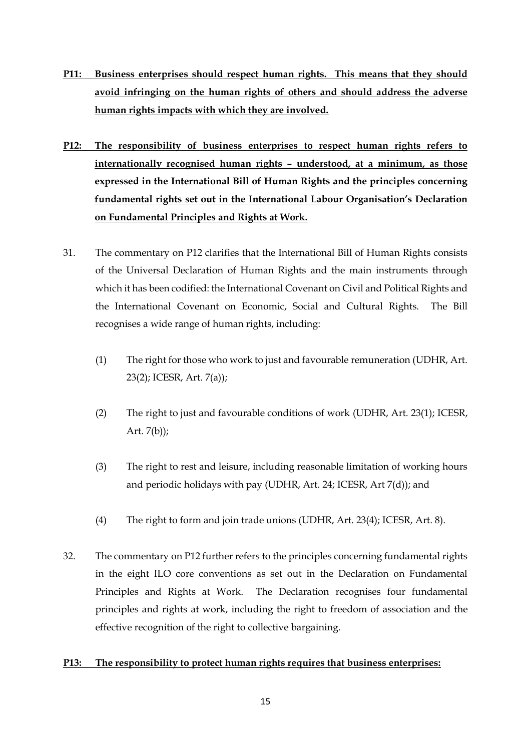- **P11: Business enterprises should respect human rights. This means that they should avoid infringing on the human rights of others and should address the adverse human rights impacts with which they are involved.**
- **P12: The responsibility of business enterprises to respect human rights refers to internationally recognised human rights – understood, at a minimum, as those expressed in the International Bill of Human Rights and the principles concerning fundamental rights set out in the International Labour Organisation's Declaration on Fundamental Principles and Rights at Work.**
- 31. The commentary on P12 clarifies that the International Bill of Human Rights consists of the Universal Declaration of Human Rights and the main instruments through which it has been codified: the International Covenant on Civil and Political Rights and the International Covenant on Economic, Social and Cultural Rights. The Bill recognises a wide range of human rights, including:
	- (1) The right for those who work to just and favourable remuneration (UDHR, Art. 23(2); ICESR, Art. 7(a));
	- (2) The right to just and favourable conditions of work (UDHR, Art. 23(1); ICESR, Art. 7(b));
	- (3) The right to rest and leisure, including reasonable limitation of working hours and periodic holidays with pay (UDHR, Art. 24; ICESR, Art 7(d)); and
	- (4) The right to form and join trade unions (UDHR, Art. 23(4); ICESR, Art. 8).
- 32. The commentary on P12 further refers to the principles concerning fundamental rights in the eight ILO core conventions as set out in the Declaration on Fundamental Principles and Rights at Work. The Declaration recognises four fundamental principles and rights at work, including the right to freedom of association and the effective recognition of the right to collective bargaining.

# **P13: The responsibility to protect human rights requires that business enterprises:**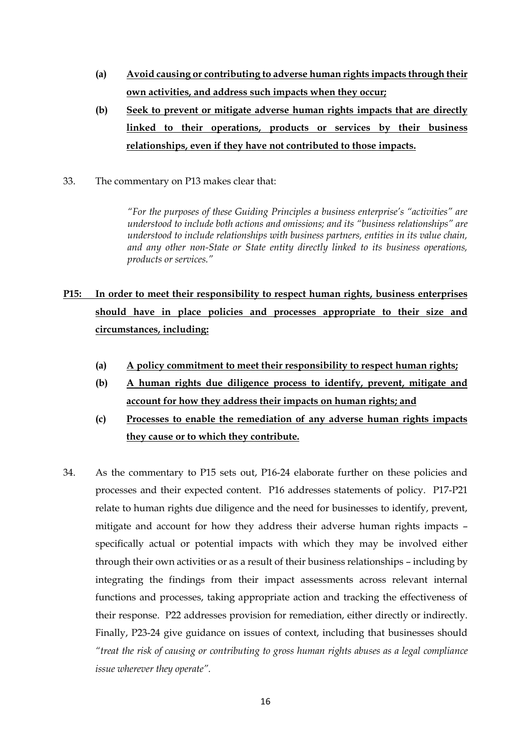- **(a) Avoid causing or contributing to adverse human rights impacts through their own activities, and address such impacts when they occur;**
- **(b) Seek to prevent or mitigate adverse human rights impacts that are directly linked to their operations, products or services by their business relationships, even if they have not contributed to those impacts.**
- 33. The commentary on P13 makes clear that:

*"For the purposes of these Guiding Principles a business enterprise's "activities" are understood to include both actions and omissions; and its "business relationships" are understood to include relationships with business partners, entities in its value chain, and any other non-State or State entity directly linked to its business operations, products or services."*

- **P15: In order to meet their responsibility to respect human rights, business enterprises should have in place policies and processes appropriate to their size and circumstances, including:**
	- **(a) A policy commitment to meet their responsibility to respect human rights;**
	- **(b) A human rights due diligence process to identify, prevent, mitigate and account for how they address their impacts on human rights; and**
	- **(c) Processes to enable the remediation of any adverse human rights impacts they cause or to which they contribute.**
- 34. As the commentary to P15 sets out, P16-24 elaborate further on these policies and processes and their expected content. P16 addresses statements of policy. P17-P21 relate to human rights due diligence and the need for businesses to identify, prevent, mitigate and account for how they address their adverse human rights impacts – specifically actual or potential impacts with which they may be involved either through their own activities or as a result of their business relationships – including by integrating the findings from their impact assessments across relevant internal functions and processes, taking appropriate action and tracking the effectiveness of their response. P22 addresses provision for remediation, either directly or indirectly. Finally, P23-24 give guidance on issues of context, including that businesses should *"treat the risk of causing or contributing to gross human rights abuses as a legal compliance issue wherever they operate".*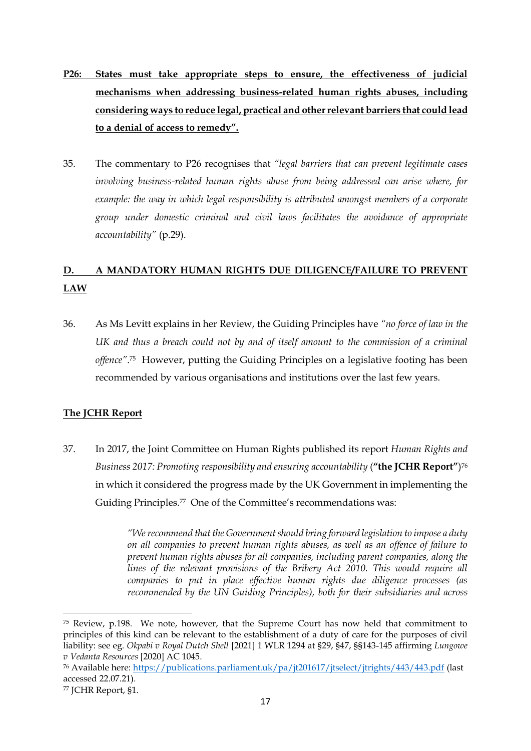- **P26: States must take appropriate steps to ensure, the effectiveness of judicial mechanisms when addressing business-related human rights abuses, including considering ways to reduce legal, practical and other relevant barriers that could lead to a denial of access to remedy".**
- 35. The commentary to P26 recognises that *"legal barriers that can prevent legitimate cases involving business-related human rights abuse from being addressed can arise where, for example: the way in which legal responsibility is attributed amongst members of a corporate group under domestic criminal and civil laws facilitates the avoidance of appropriate accountability"* (p.29).

# **D. A MANDATORY HUMAN RIGHTS DUE DILIGENCE/FAILURE TO PREVENT LAW**

36. As Ms Levitt explains in her Review, the Guiding Principles have *"no force of law in the UK and thus a breach could not by and of itself amount to the commission of a criminal offence"*. <sup>75</sup> However, putting the Guiding Principles on a legislative footing has been recommended by various organisations and institutions over the last few years.

# **The JCHR Report**

37. In 2017, the Joint Committee on Human Rights published its report *Human Rights and*  Business 2017: Promoting responsibility and ensuring accountability (**"the JCHR Report"**)<sup>76</sup> in which it considered the progress made by the UK Government in implementing the Guiding Principles.77 One of the Committee's recommendations was:

> *"We recommend that the Government should bring forward legislation to impose a duty on all companies to prevent human rights abuses, as well as an offence of failure to prevent human rights abuses for all companies, including parent companies, along the*  lines of the relevant provisions of the Bribery Act 2010. This would require all *companies to put in place effective human rights due diligence processes (as recommended by the UN Guiding Principles), both for their subsidiaries and across*

<sup>75</sup> Review, p.198. We note, however, that the Supreme Court has now held that commitment to principles of this kind can be relevant to the establishment of a duty of care for the purposes of civil liability: see eg. *Okpabi v Royal Dutch Shell* [2021] 1 WLR 1294 at §29, §47, §§143-145 affirming *Lungowe v Vedanta Resources* [2020] AC 1045.

<sup>76</sup> Available here: https://publications.parliament.uk/pa/jt201617/jtselect/jtrights/443/443.pdf (last accessed 22.07.21).

<sup>77</sup> JCHR Report, §1.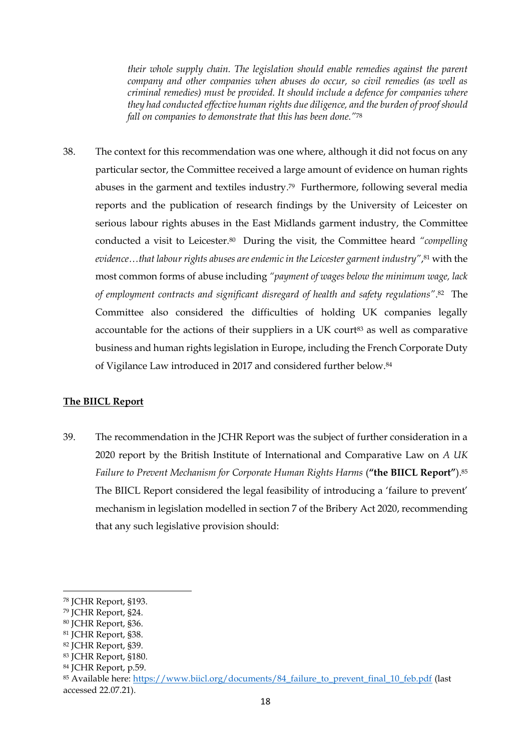*their whole supply chain. The legislation should enable remedies against the parent company and other companies when abuses do occur, so civil remedies (as well as criminal remedies) must be provided. It should include a defence for companies where they had conducted effective human rights due diligence, and the burden of proof should fall on companies to demonstrate that this has been done."*<sup>78</sup>

38. The context for this recommendation was one where, although it did not focus on any particular sector, the Committee received a large amount of evidence on human rights abuses in the garment and textiles industry. <sup>79</sup> Furthermore, following several media reports and the publication of research findings by the University of Leicester on serious labour rights abuses in the East Midlands garment industry, the Committee conducted a visit to Leicester.80 During the visit, the Committee heard *"compelling evidence…that labour rights abuses are endemic in the Leicester garment industry"*, <sup>81</sup> with the most common forms of abuse including *"payment of wages below the minimum wage, lack of employment contracts and significant disregard of health and safety regulations"*. <sup>82</sup> The Committee also considered the difficulties of holding UK companies legally accountable for the actions of their suppliers in a UK court<sup>83</sup> as well as comparative business and human rights legislation in Europe, including the French Corporate Duty of Vigilance Law introduced in 2017 and considered further below.<sup>84</sup>

# **The BIICL Report**

39. The recommendation in the JCHR Report was the subject of further consideration in a 2020 report by the British Institute of International and Comparative Law on *A UK Failure to Prevent Mechanism for Corporate Human Rights Harms* (**"the BIICL Report"**).<sup>85</sup> The BIICL Report considered the legal feasibility of introducing a 'failure to prevent' mechanism in legislation modelled in section 7 of the Bribery Act 2020, recommending that any such legislative provision should:

<sup>78</sup> JCHR Report, §193.

<sup>79</sup> JCHR Report, §24.

<sup>80</sup> JCHR Report, §36.

<sup>81</sup> JCHR Report, §38.

<sup>82</sup> JCHR Report, §39.

<sup>83</sup> JCHR Report, §180.

<sup>84</sup> JCHR Report, p.59.

<sup>85</sup> Available here: https://www.biicl.org/documents/84\_failure\_to\_prevent\_final\_10\_feb.pdf (last accessed 22.07.21).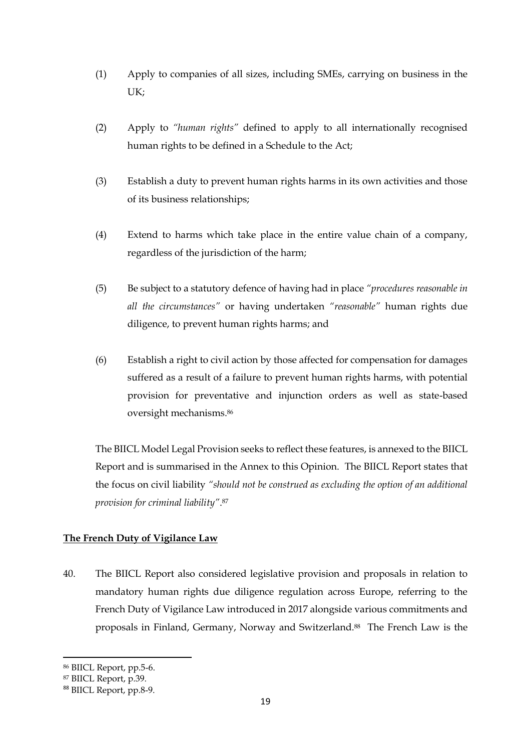- (1) Apply to companies of all sizes, including SMEs, carrying on business in the UK;
- (2) Apply to *"human rights"* defined to apply to all internationally recognised human rights to be defined in a Schedule to the Act;
- (3) Establish a duty to prevent human rights harms in its own activities and those of its business relationships;
- (4) Extend to harms which take place in the entire value chain of a company, regardless of the jurisdiction of the harm;
- (5) Be subject to a statutory defence of having had in place *"procedures reasonable in all the circumstances"* or having undertaken *"reasonable"* human rights due diligence, to prevent human rights harms; and
- (6) Establish a right to civil action by those affected for compensation for damages suffered as a result of a failure to prevent human rights harms, with potential provision for preventative and injunction orders as well as state-based oversight mechanisms.<sup>86</sup>

The BIICL Model Legal Provision seeks to reflect these features, is annexed to the BIICL Report and is summarised in the Annex to this Opinion. The BIICL Report states that the focus on civil liability *"should not be construed as excluding the option of an additional provision for criminal liability"*. 87

# **The French Duty of Vigilance Law**

40. The BIICL Report also considered legislative provision and proposals in relation to mandatory human rights due diligence regulation across Europe, referring to the French Duty of Vigilance Law introduced in 2017 alongside various commitments and proposals in Finland, Germany, Norway and Switzerland.88 The French Law is the

<sup>86</sup> BIICL Report, pp.5-6.

<sup>87</sup> BIICL Report, p.39.

<sup>88</sup> BIICL Report, pp.8-9.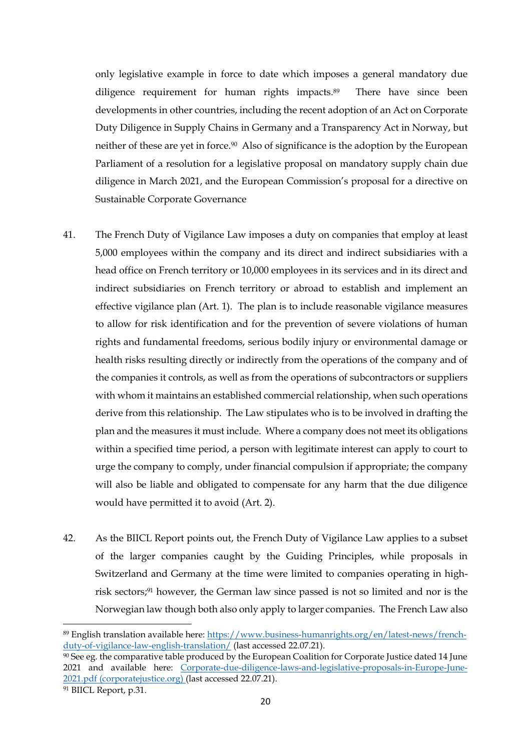only legislative example in force to date which imposes a general mandatory due diligence requirement for human rights impacts.89 There have since been developments in other countries, including the recent adoption of an Act on Corporate Duty Diligence in Supply Chains in Germany and a Transparency Act in Norway, but neither of these are yet in force.90 Also of significance is the adoption by the European Parliament of a resolution for a legislative proposal on mandatory supply chain due diligence in March 2021, and the European Commission's proposal for a directive on Sustainable Corporate Governance

- 41. The French Duty of Vigilance Law imposes a duty on companies that employ at least 5,000 employees within the company and its direct and indirect subsidiaries with a head office on French territory or 10,000 employees in its services and in its direct and indirect subsidiaries on French territory or abroad to establish and implement an effective vigilance plan (Art. 1). The plan is to include reasonable vigilance measures to allow for risk identification and for the prevention of severe violations of human rights and fundamental freedoms, serious bodily injury or environmental damage or health risks resulting directly or indirectly from the operations of the company and of the companies it controls, as well as from the operations of subcontractors or suppliers with whom it maintains an established commercial relationship, when such operations derive from this relationship. The Law stipulates who is to be involved in drafting the plan and the measures it must include. Where a company does not meet its obligations within a specified time period, a person with legitimate interest can apply to court to urge the company to comply, under financial compulsion if appropriate; the company will also be liable and obligated to compensate for any harm that the due diligence would have permitted it to avoid (Art. 2).
- 42. As the BIICL Report points out, the French Duty of Vigilance Law applies to a subset of the larger companies caught by the Guiding Principles, while proposals in Switzerland and Germany at the time were limited to companies operating in highrisk sectors; <sup>91</sup> however, the German law since passed is not so limited and nor is the Norwegian law though both also only apply to larger companies. The French Law also

<sup>89</sup> English translation available here: https://www.business-humanrights.org/en/latest-news/frenchduty-of-vigilance-law-english-translation/ (last accessed 22.07.21).

<sup>90</sup> See eg. the comparative table produced by the European Coalition for Corporate Justice dated 14 June 2021 and available here: [Corporate-due-diligence-laws-and-legislative-proposals-in-Europe-June-](https://corporatejustice.org/wp-content/uploads/2021/07/Corporate-due-diligence-laws-and-legislative-proposals-in-Europe-June-2021.pdf)[2021.pdf \(corporatejustice.org\)](https://corporatejustice.org/wp-content/uploads/2021/07/Corporate-due-diligence-laws-and-legislative-proposals-in-Europe-June-2021.pdf) (last accessed 22.07.21).

<sup>91</sup> BIICL Report, p.31.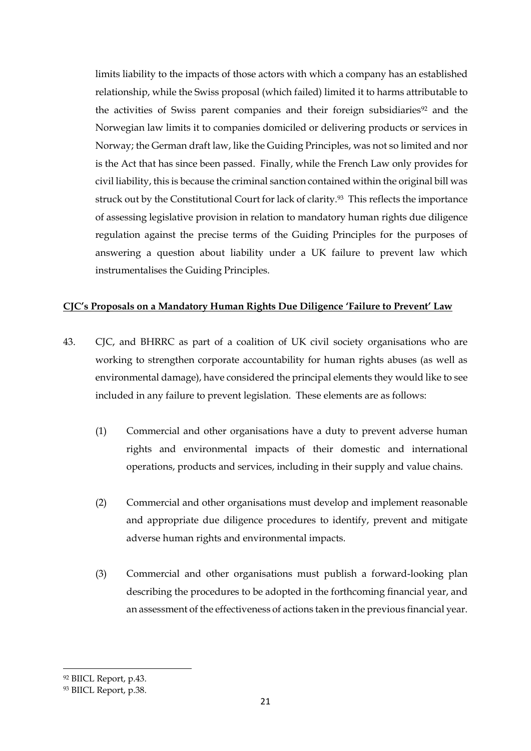limits liability to the impacts of those actors with which a company has an established relationship, while the Swiss proposal (which failed) limited it to harms attributable to the activities of Swiss parent companies and their foreign subsidiaries<sup>92</sup> and the Norwegian law limits it to companies domiciled or delivering products or services in Norway; the German draft law, like the Guiding Principles, was not so limited and nor is the Act that has since been passed. Finally, while the French Law only provides for civil liability, this is because the criminal sanction contained within the original bill was struck out by the Constitutional Court for lack of clarity.<sup>93</sup> This reflects the importance of assessing legislative provision in relation to mandatory human rights due diligence regulation against the precise terms of the Guiding Principles for the purposes of answering a question about liability under a UK failure to prevent law which instrumentalises the Guiding Principles.

## **CJC's Proposals on a Mandatory Human Rights Due Diligence 'Failure to Prevent' Law**

- 43. CJC, and BHRRC as part of a coalition of UK civil society organisations who are working to strengthen corporate accountability for human rights abuses (as well as environmental damage), have considered the principal elements they would like to see included in any failure to prevent legislation. These elements are as follows:
	- (1) Commercial and other organisations have a duty to prevent adverse human rights and environmental impacts of their domestic and international operations, products and services, including in their supply and value chains.
	- (2) Commercial and other organisations must develop and implement reasonable and appropriate due diligence procedures to identify, prevent and mitigate adverse human rights and environmental impacts.
	- (3) Commercial and other organisations must publish a forward-looking plan describing the procedures to be adopted in the forthcoming financial year, and an assessment of the effectiveness of actions taken in the previous financial year.

<sup>92</sup> BIICL Report, p.43.

<sup>93</sup> BIICL Report, p.38.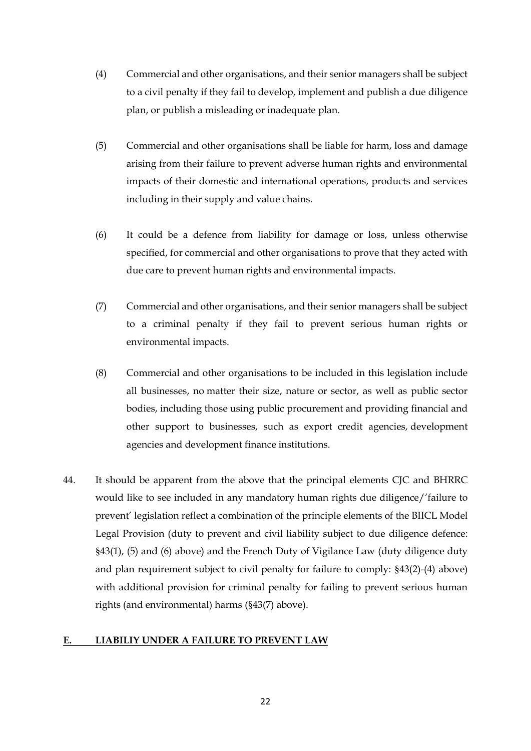- (4) Commercial and other organisations, and their senior managers shall be subject to a civil penalty if they fail to develop, implement and publish a due diligence plan, or publish a misleading or inadequate plan.
- (5) Commercial and other organisations shall be liable for harm, loss and damage arising from their failure to prevent adverse human rights and environmental impacts of their domestic and international operations, products and services including in their supply and value chains.
- (6) It could be a defence from liability for damage or loss, unless otherwise specified, for commercial and other organisations to prove that they acted with due care to prevent human rights and environmental impacts.
- (7) Commercial and other organisations, and their senior managers shall be subject to a criminal penalty if they fail to prevent serious human rights or environmental impacts.
- (8) Commercial and other organisations to be included in this legislation include all businesses, no matter their size, nature or sector, as well as public sector bodies, including those using public procurement and providing financial and other support to businesses, such as export credit agencies, development agencies and development finance institutions.
- 44. It should be apparent from the above that the principal elements CJC and BHRRC would like to see included in any mandatory human rights due diligence/'failure to prevent' legislation reflect a combination of the principle elements of the BIICL Model Legal Provision (duty to prevent and civil liability subject to due diligence defence: §43(1), (5) and (6) above) and the French Duty of Vigilance Law (duty diligence duty and plan requirement subject to civil penalty for failure to comply: §43(2)-(4) above) with additional provision for criminal penalty for failing to prevent serious human rights (and environmental) harms (§43(7) above).

# **E. LIABILIY UNDER A FAILURE TO PREVENT LAW**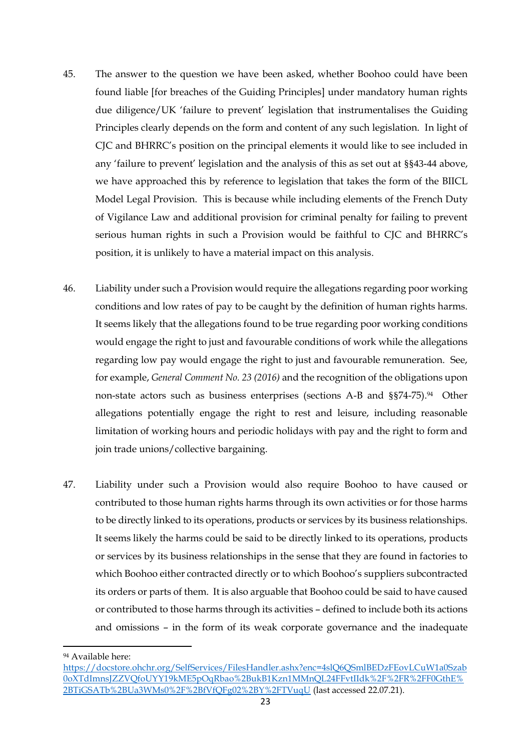- 45. The answer to the question we have been asked, whether Boohoo could have been found liable [for breaches of the Guiding Principles] under mandatory human rights due diligence/UK 'failure to prevent' legislation that instrumentalises the Guiding Principles clearly depends on the form and content of any such legislation. In light of CJC and BHRRC's position on the principal elements it would like to see included in any 'failure to prevent' legislation and the analysis of this as set out at §§43-44 above, we have approached this by reference to legislation that takes the form of the BIICL Model Legal Provision. This is because while including elements of the French Duty of Vigilance Law and additional provision for criminal penalty for failing to prevent serious human rights in such a Provision would be faithful to CJC and BHRRC's position, it is unlikely to have a material impact on this analysis.
- 46. Liability under such a Provision would require the allegations regarding poor working conditions and low rates of pay to be caught by the definition of human rights harms. It seems likely that the allegations found to be true regarding poor working conditions would engage the right to just and favourable conditions of work while the allegations regarding low pay would engage the right to just and favourable remuneration. See, for example, *General Comment No. 23 (2016)* and the recognition of the obligations upon non-state actors such as business enterprises (sections A-B and §§74-75). <sup>94</sup> Other allegations potentially engage the right to rest and leisure, including reasonable limitation of working hours and periodic holidays with pay and the right to form and join trade unions/collective bargaining.
- 47. Liability under such a Provision would also require Boohoo to have caused or contributed to those human rights harms through its own activities or for those harms to be directly linked to its operations, products or services by its business relationships. It seems likely the harms could be said to be directly linked to its operations, products or services by its business relationships in the sense that they are found in factories to which Boohoo either contracted directly or to which Boohoo's suppliers subcontracted its orders or parts of them. It is also arguable that Boohoo could be said to have caused or contributed to those harms through its activities – defined to include both its actions and omissions – in the form of its weak corporate governance and the inadequate

<sup>94</sup> Available here:

https://docstore.ohchr.org/SelfServices/FilesHandler.ashx?enc=4slQ6QSmlBEDzFEovLCuW1a0Szab 0oXTdImnsJZZVQfoUYY19kME5pOqRbao%2BukB1Kzn1MMnQL24FFvtIIdk%2F%2FR%2FF0GthE% 2BTiGSATb%2BUa3WMs0%2F%2BfVfQFg02%2BY%2FTVuqU (last accessed 22.07.21).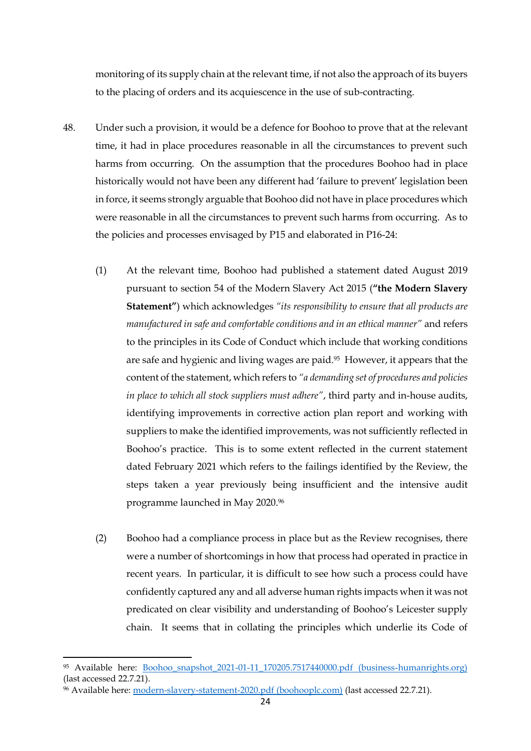monitoring of its supply chain at the relevant time, if not also the approach of its buyers to the placing of orders and its acquiescence in the use of sub-contracting.

- 48. Under such a provision, it would be a defence for Boohoo to prove that at the relevant time, it had in place procedures reasonable in all the circumstances to prevent such harms from occurring. On the assumption that the procedures Boohoo had in place historically would not have been any different had 'failure to prevent' legislation been in force, it seems strongly arguable that Boohoo did not have in place procedures which were reasonable in all the circumstances to prevent such harms from occurring. As to the policies and processes envisaged by P15 and elaborated in P16-24:
	- (1) At the relevant time, Boohoo had published a statement dated August 2019 pursuant to section 54 of the Modern Slavery Act 2015 (**"the Modern Slavery Statement"**) which acknowledges *"its responsibility to ensure that all products are manufactured in safe and comfortable conditions and in an ethical manner"* and refers to the principles in its Code of Conduct which include that working conditions are safe and hygienic and living wages are paid.95 However, it appears that the content of the statement, which refers to *"a demanding set of procedures and policies in place to which all stock suppliers must adhere"*, third party and in-house audits, identifying improvements in corrective action plan report and working with suppliers to make the identified improvements, was not sufficiently reflected in Boohoo's practice. This is to some extent reflected in the current statement dated February 2021 which refers to the failings identified by the Review, the steps taken a year previously being insufficient and the intensive audit programme launched in May 2020.<sup>96</sup>
	- (2) Boohoo had a compliance process in place but as the Review recognises, there were a number of shortcomings in how that process had operated in practice in recent years. In particular, it is difficult to see how such a process could have confidently captured any and all adverse human rights impacts when it was not predicated on clear visibility and understanding of Boohoo's Leicester supply chain. It seems that in collating the principles which underlie its Code of

<sup>95</sup> Available here: [Boohoo\\_snapshot\\_2021-01-11\\_170205.7517440000.pdf \(business-humanrights.org\)](https://media.business-humanrights.org/media/documents/Boohoo_snapshot_2021-01-11_170205.7517440000.pdf) (last accessed 22.7.21).

<sup>96</sup> Available here: [modern-slavery-statement-2020.pdf \(boohooplc.com\)](https://www.boohooplc.com/sites/boohoo-corp/files/all-documents/modern-slavery-statement-2020.pdf) (last accessed 22.7.21).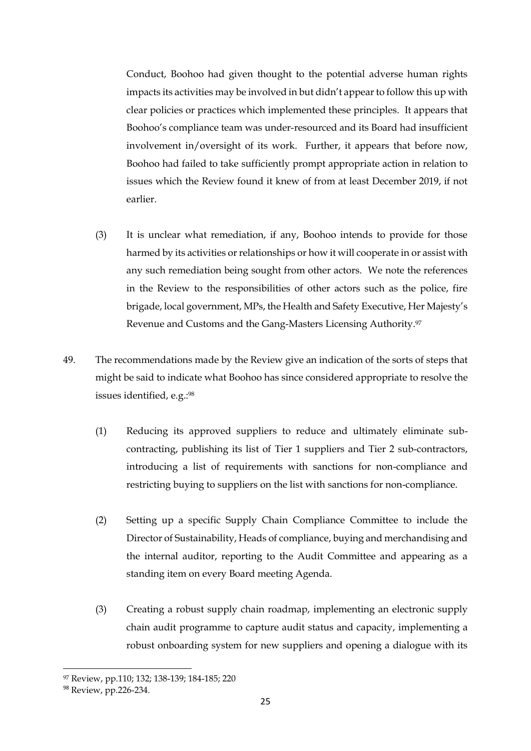Conduct, Boohoo had given thought to the potential adverse human rights impacts its activities may be involved in but didn't appear to follow this up with clear policies or practices which implemented these principles. It appears that Boohoo's compliance team was under-resourced and its Board had insufficient involvement in/oversight of its work. Further, it appears that before now, Boohoo had failed to take sufficiently prompt appropriate action in relation to issues which the Review found it knew of from at least December 2019, if not earlier.

- (3) It is unclear what remediation, if any, Boohoo intends to provide for those harmed by its activities or relationships or how it will cooperate in or assist with any such remediation being sought from other actors. We note the references in the Review to the responsibilities of other actors such as the police, fire brigade, local government, MPs, the Health and Safety Executive, Her Majesty's Revenue and Customs and the Gang-Masters Licensing Authority.<sup>97</sup>
- 49. The recommendations made by the Review give an indication of the sorts of steps that might be said to indicate what Boohoo has since considered appropriate to resolve the issues identified, e.g.: 98
	- (1) Reducing its approved suppliers to reduce and ultimately eliminate subcontracting, publishing its list of Tier 1 suppliers and Tier 2 sub-contractors, introducing a list of requirements with sanctions for non-compliance and restricting buying to suppliers on the list with sanctions for non-compliance.
	- (2) Setting up a specific Supply Chain Compliance Committee to include the Director of Sustainability, Heads of compliance, buying and merchandising and the internal auditor, reporting to the Audit Committee and appearing as a standing item on every Board meeting Agenda.
	- (3) Creating a robust supply chain roadmap, implementing an electronic supply chain audit programme to capture audit status and capacity, implementing a robust onboarding system for new suppliers and opening a dialogue with its

<sup>97</sup> Review, pp.110; 132; 138-139; 184-185; 220

<sup>98</sup> Review, pp.226-234.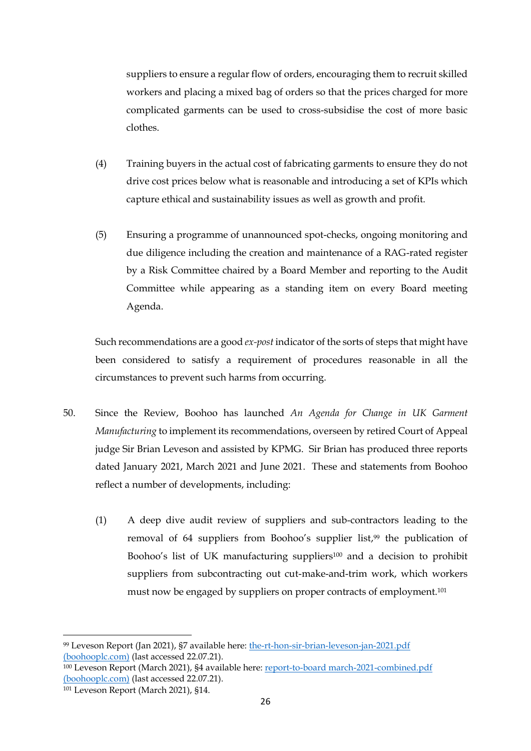suppliers to ensure a regular flow of orders, encouraging them to recruit skilled workers and placing a mixed bag of orders so that the prices charged for more complicated garments can be used to cross-subsidise the cost of more basic clothes.

- (4) Training buyers in the actual cost of fabricating garments to ensure they do not drive cost prices below what is reasonable and introducing a set of KPIs which capture ethical and sustainability issues as well as growth and profit.
- (5) Ensuring a programme of unannounced spot-checks, ongoing monitoring and due diligence including the creation and maintenance of a RAG-rated register by a Risk Committee chaired by a Board Member and reporting to the Audit Committee while appearing as a standing item on every Board meeting Agenda.

Such recommendations are a good *ex-post* indicator of the sorts of steps that might have been considered to satisfy a requirement of procedures reasonable in all the circumstances to prevent such harms from occurring.

- 50. Since the Review, Boohoo has launched *An Agenda for Change in UK Garment Manufacturing* to implement its recommendations, overseen by retired Court of Appeal judge Sir Brian Leveson and assisted by KPMG. Sir Brian has produced three reports dated January 2021, March 2021 and June 2021. These and statements from Boohoo reflect a number of developments, including:
	- (1) A deep dive audit review of suppliers and sub-contractors leading to the removal of 64 suppliers from Boohoo's supplier list, <sup>99</sup> the publication of Boohoo's list of UK manufacturing suppliers<sup>100</sup> and a decision to prohibit suppliers from subcontracting out cut-make-and-trim work, which workers must now be engaged by suppliers on proper contracts of employment.<sup>101</sup>

<sup>99</sup> Leveson Report (Jan 2021), §7 available here: the-rt-hon-sir-brian-leveson-jan-2021.pdf (boohooplc.com) (last accessed 22.07.21).

<sup>100</sup> Leveson Report (March 2021), §4 available here: report-to-board march-2021-combined.pdf (boohooplc.com) (last accessed 22.07.21).

<sup>101</sup> Leveson Report (March 2021), §14.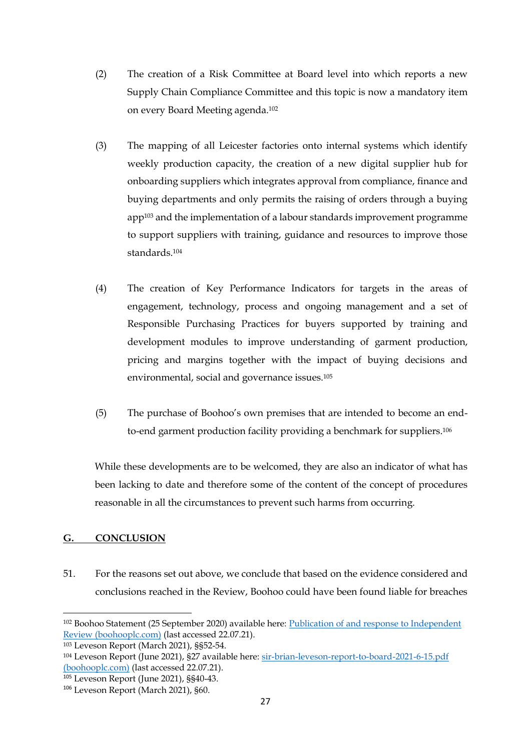- (2) The creation of a Risk Committee at Board level into which reports a new Supply Chain Compliance Committee and this topic is now a mandatory item on every Board Meeting agenda.<sup>102</sup>
- (3) The mapping of all Leicester factories onto internal systems which identify weekly production capacity, the creation of a new digital supplier hub for onboarding suppliers which integrates approval from compliance, finance and buying departments and only permits the raising of orders through a buying app<sup>103</sup> and the implementation of a labour standards improvement programme to support suppliers with training, guidance and resources to improve those standards.<sup>104</sup>
- (4) The creation of Key Performance Indicators for targets in the areas of engagement, technology, process and ongoing management and a set of Responsible Purchasing Practices for buyers supported by training and development modules to improve understanding of garment production, pricing and margins together with the impact of buying decisions and environmental, social and governance issues.<sup>105</sup>
- (5) The purchase of Boohoo's own premises that are intended to become an endto-end garment production facility providing a benchmark for suppliers.<sup>106</sup>

While these developments are to be welcomed, they are also an indicator of what has been lacking to date and therefore some of the content of the concept of procedures reasonable in all the circumstances to prevent such harms from occurring.

# **G. CONCLUSION**

51. For the reasons set out above, we conclude that based on the evidence considered and conclusions reached in the Review, Boohoo could have been found liable for breaches

<sup>102</sup> Boohoo Statement (25 September 2020) available here: Publication of and response to Independent Review (boohooplc.com) (last accessed 22.07.21).

<sup>103</sup> Leveson Report (March 2021), §§52-54.

<sup>104</sup> Leveson Report (June 2021), §27 available here: sir-brian-leveson-report-to-board-2021-6-15.pdf (boohooplc.com) (last accessed 22.07.21).

<sup>105</sup> Leveson Report (June 2021), §§40-43.

<sup>106</sup> Leveson Report (March 2021), §60.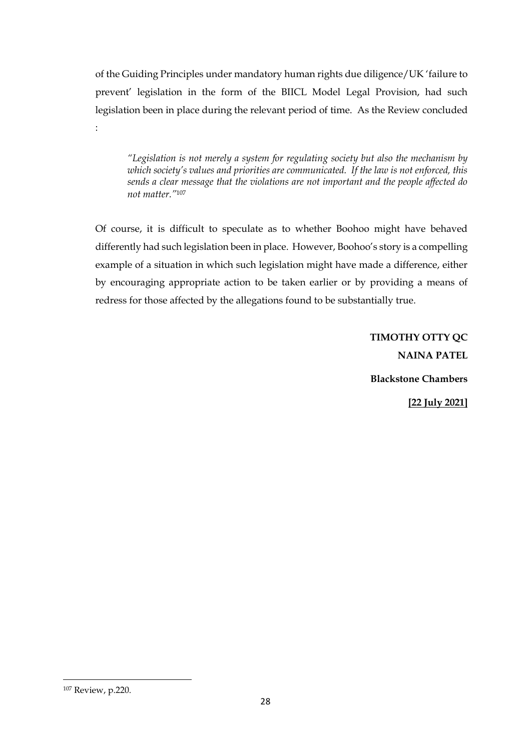of the Guiding Principles under mandatory human rights due diligence/UK 'failure to prevent' legislation in the form of the BIICL Model Legal Provision, had such legislation been in place during the relevant period of time. As the Review concluded

*"Legislation is not merely a system for regulating society but also the mechanism by which society's values and priorities are communicated. If the law is not enforced, this sends a clear message that the violations are not important and the people affected do not matter."*<sup>107</sup>

Of course, it is difficult to speculate as to whether Boohoo might have behaved differently had such legislation been in place. However, Boohoo's story is a compelling example of a situation in which such legislation might have made a difference, either by encouraging appropriate action to be taken earlier or by providing a means of redress for those affected by the allegations found to be substantially true.

> **TIMOTHY OTTY QC NAINA PATEL Blackstone Chambers [22 July 2021]**

<sup>107</sup> Review, p.220.

: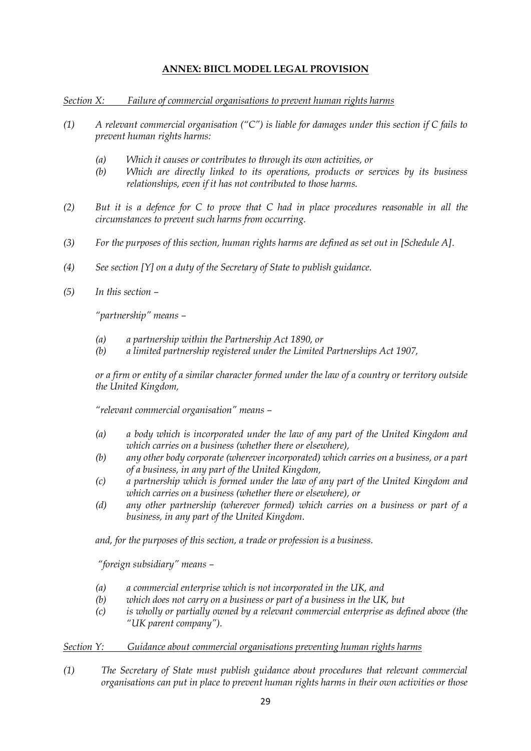## **ANNEX: BIICL MODEL LEGAL PROVISION**

*Section X: Failure of commercial organisations to prevent human rights harms*

- *(1) A relevant commercial organisation ("C") is liable for damages under this section if C fails to prevent human rights harms:*
	- *(a) Which it causes or contributes to through its own activities, or*
	- *(b) Which are directly linked to its operations, products or services by its business relationships, even if it has not contributed to those harms.*
- *(2) But it is a defence for C to prove that C had in place procedures reasonable in all the circumstances to prevent such harms from occurring.*
- *(3) For the purposes of this section, human rights harms are defined as set out in [Schedule A].*
- *(4) See section [Y] on a duty of the Secretary of State to publish guidance.*
- *(5) In this section –*

*"partnership" means –*

- *(a) a partnership within the Partnership Act 1890, or*
- *(b) a limited partnership registered under the Limited Partnerships Act 1907,*

*or a firm or entity of a similar character formed under the law of a country or territory outside the United Kingdom,* 

*"relevant commercial organisation" means –*

- *(a) a body which is incorporated under the law of any part of the United Kingdom and which carries on a business (whether there or elsewhere),*
- *(b) any other body corporate (wherever incorporated) which carries on a business, or a part of a business, in any part of the United Kingdom,*
- *(c) a partnership which is formed under the law of any part of the United Kingdom and which carries on a business (whether there or elsewhere), or*
- *(d) any other partnership (wherever formed) which carries on a business or part of a business, in any part of the United Kingdom.*

*and, for the purposes of this section, a trade or profession is a business.*

*"foreign subsidiary" means –*

- *(a) a commercial enterprise which is not incorporated in the UK, and*
- *(b) which does not carry on a business or part of a business in the UK, but*
- *(c) is wholly or partially owned by a relevant commercial enterprise as defined above (the "UK parent company").*

#### *Section Y: Guidance about commercial organisations preventing human rights harms*

*(1) The Secretary of State must publish guidance about procedures that relevant commercial organisations can put in place to prevent human rights harms in their own activities or those*